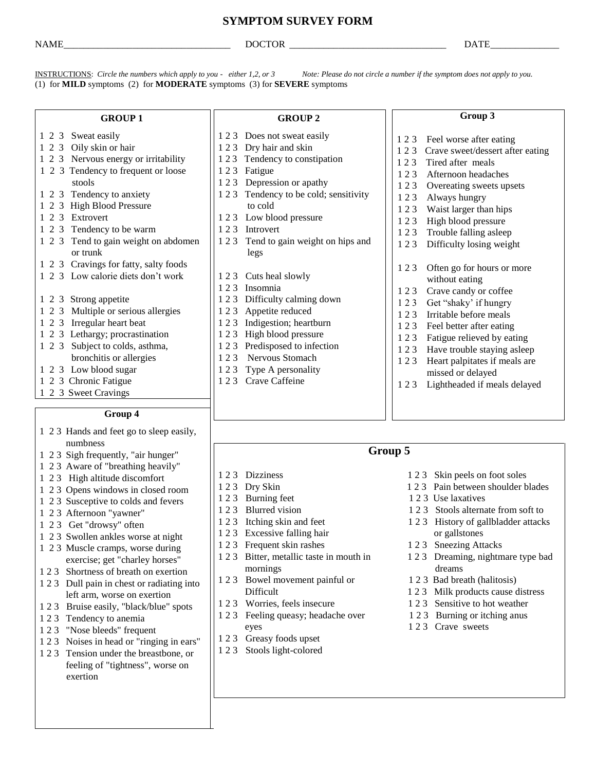# **SYMPTOM SURVEY FORM**

NAME DOCTOR DATE

INSTRUCTIONS: *Circle the numbers which apply to you - either 1,2, or 3 Note: Please do not circle a number if the symptom does not apply to you.* (1) for **MILD** symptoms (2) for **MODERATE** symptoms (3) for **SEVERE** symptoms

#### **GROUP 1**

1 2 3 Nervous energy or irritability 1 2 3 Tendency to frequent or loose

1 2 3 Tend to gain weight on abdomen

1 2 3 Cravings for fatty, salty foods 1 2 3 Low calorie diets don't work

1 2 3 Multiple or serious allergies

**Group 4** 1 2 3 Hands and feet go to sleep easily,

1 2 3 Sweat easily 1 2 3 Oily skin or hair

 stools 1 2 3 Tendency to anxiety 1 2 3 High Blood Pressure

1 2 3 Tendency to be warm

or trunk

1 2 3 Strong appetite

1 2 3 Irregular heart beat 1 2 3 Lethargy; procrastination 1 2 3 Subject to colds, asthma, bronchitis or allergies

1 2 3 Low blood sugar 1 2 3 Chronic Fatigue 1 2 3 Sweet Cravings

numbness

1 2 3 Afternoon "yawner"

1 2 3 Extrovert

#### **GROUP 2**

- 1 2 3 Does not sweat easily
- 1 2 3 Dry hair and skin
- 1 2 3 Tendency to constipation
- 1 2 3 Fatigue
- 1 2 3 Depression or apathy
- 1 2 3 Tendency to be cold; sensitivity to cold
- 1 2 3 Low blood pressure
- 1 2 3 Introvert
- 1 2 3 Tend to gain weight on hips and legs
- 1 2 3 Cuts heal slowly
- 1 2 3 Insomnia
- 1 2 3 Difficulty calming down
- 1 2 3 Appetite reduced
- 1 2 3 Indigestion; heartburn
- 1 2 3 High blood pressure
- 1 2 3 Predisposed to infection
- 1 2 3 Nervous Stomach
- 1 2 3 Type A personality
- 1 2 3 Crave Caffeine

## **Group 3**

- 1 2 3 Feel worse after eating
- 1 2 3 Crave sweet/dessert after eating
- 1 2 3 Tired after meals
- 1 2 3 Afternoon headaches
- 1 2 3 Overeating sweets upsets
- 1 2 3 Always hungry
- 1 2 3 Waist larger than hips
- 1 2 3 High blood pressure
- 1 2 3 Trouble falling asleep
- 1 2 3 Difficulty losing weight
- 1 2 3 Often go for hours or more without eating
- 1 2 3 Crave candy or coffee
- 1 2 3 Get "shaky' if hungry
- 1 2 3 Irritable before meals
- 1 2 3 Feel better after eating
- 1 2 3 Fatigue relieved by eating
- 1 2 3 Have trouble staying asleep
- 1 2 3 Heart palpitates if meals are missed or delayed
- 1 2 3 Lightheaded if meals delayed

## **Group 5**

- 1 2 3 Dizziness 1 2 3 Skin peels on foot soles
- 1 2 3 Dry Skin 1 2 3 Pain between shoulder blades
- 1 2 3 Burning feet 1 2 3 Use laxatives
- 1 2 3 Blurred vision 1 2 3 Stools alternate from soft to
- 1 2 3 Itching skin and feet 1 2 3 History of gallbladder attacks
	-
	-
	-
	-
	-
	-
	-

1 2 3 Get "drowsy" often 1 2 3 Swollen ankles worse at night

1 2 3 Sigh frequently, "air hunger" 1 2 3 Aware of "breathing heavily" 1 2 3 High altitude discomfort 1 2 3 Opens windows in closed room 1 2 3 Susceptive to colds and fevers

- 1 2 3 Muscle cramps, worse during exercise; get "charley horses"
- 1 2 3 Shortness of breath on exertion
- 1 2 3 Dull pain in chest or radiating into left arm, worse on exertion
- 1 2 3 Bruise easily, "black/blue" spots
- 1 2 3 Tendency to anemia
- 1 2 3 "Nose bleeds" frequent
- 1 2 3 Noises in head or "ringing in ears"
- 1 2 3 Tension under the breastbone, or feeling of "tightness", worse on exertion
- 
- 
- 
- mornings dreams
- Difficult 1 2 3 Milk products cause distress
- 1 2 3 Worries, feels insecure 1 2 3 Sensitive to hot weather
- 1 2 3 Feeling queasy; headache over 1 2 3 Burning or itching anus eyes 1 2 3 Crave sweets
- 
- 
- 
- 
- 
- 1 2 3 Excessive falling hair or gallstones
- 
- 1 2 3 Bitter, metallic taste in mouth in 1 2 3 Dreaming, nightmare type bad
- 1 2 3 Bowel movement painful or 1 2 3 Bad breath (halitosis)
	-
- 
- 
- 1 2 3 Greasy foods upset
- 1 2 3 Stools light-colored
- 
- 
- 
- 1 2 3 Frequent skin rashes 1 2 3 Sneezing Attacks

- 
- 
-